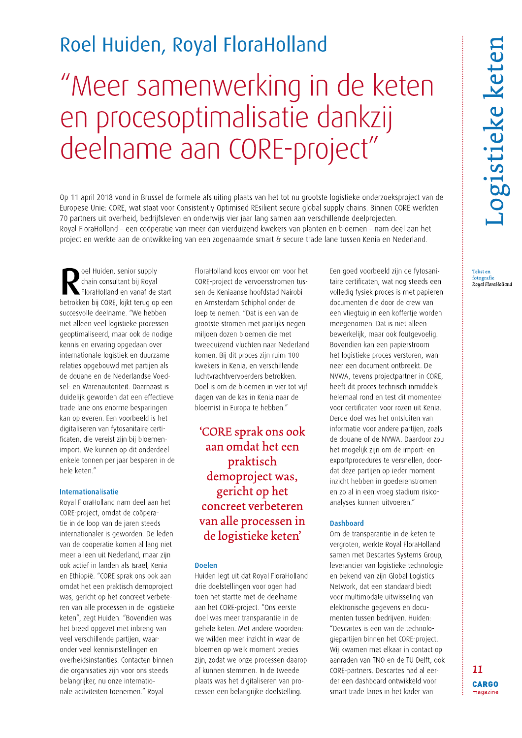## Roel Huiden, Royal FloraHolland

# "Meer samenwerking in de keten en procesoptimalisatie dankzij deelname aan CORE-project"

Op 11 april 2018 vond in Brussel de formele afsluiting plaats van het tot nu grootste logistieke onderzoeksproject van de Europese Unie: CORE, wat staat voor Consistently Optimised REsilient secure global supply chains. Binnen CORE werkten 70 partners uit overheid, bedrijfsleven en onderwijs vier jaar lang samen aan verschillende deelprojecten. Royal FloraHolland – een coöperatie van meer dan vierduizend kwekers van planten en bloemen – nam deel aan het project en werkte aan de ontwikkeling van een zogenaamde smart & secure trade lane tussen Kenia en Nederland.

oel Huiden, senior supply chain consultant bij Royal FloraHolland en vanaf de start betrokken bij CORE, kijkt terug op een succesvolle deelname. "We hebben niet alleen veel logistieke processen geoptimaliseerd, maar ook de nodige kennis en ervaring opgedaan over internationale logistiek en duurzame relaties opgebouwd met partijen als de douane en de Nederlandse Voedsel- en Warenautoriteit. Daarnaast is duidelijk geworden dat een effectieve trade lane ons enorme besparingen kan opleveren. Een voorbeeld is het digitaliseren van fytosanitaire certificaten, die vereist zijn bij bloemenimport. We kunnen op dit onderdeel enkele tonnen per jaar besparen in de hele keten."

### Internationalisatie

Roval FloraHolland nam deel aan het CORE-project, omdat de coöperatie in de loop van de jaren steeds internationaler is geworden. De leden van de coöperatie komen al lang niet meer alleen uit Nederland, maar zijn ook actief in landen als Israël, Kenia en Ethiopië. "CORE sprak ons ook aan omdat het een praktisch demoproject was, gericht op het concreet verbeteren van alle processen in de logistieke keten", zegt Huiden. "Bovendien was het breed opgezet met inbreng van veel verschillende partijen, waaronder veel kennisinstellingen en overheidsinstanties. Contacten binnen die organisaties zijn voor ons steeds belangrijker, nu onze internationale activiteiten toenemen." Royal

FloraHolland koos ervoor om voor het CORE-project de vervoersstromen tussen de Keniaanse hoofdstad Nairobi en Amsterdam Schiphol onder de loep te nemen. "Dat is een van de grootste stromen met jaarlijks negen miljoen dozen bloemen die met tweeduizend vluchten naar Nederland komen. Bij dit proces zijn ruim 100 kwekers in Kenia, en verschillende luchtvrachtvervoerders betrokken. Doel is om de bloemen in vier tot vijf dagen van de kas in Kenia naar de bloemist in Europa te hebben."

## 'CORE sprak ons ook aan omdat het een praktisch demoproject was, gericht op het concreet verbeteren van alle processen in de logistieke keten'

#### **Doelen**

Huiden legt uit dat Royal FloraHolland drie doelstellingen voor ogen had toen het startte met de deelname aan het CORE-project. "Ons eerste doel was meer transparantie in de gehele keten. Met andere woorden: we wilden meer inzicht in waar de bloemen op welk moment precies zijn, zodat we onze processen daarop af kunnen stemmen. In de tweede plaats was het digitaliseren van processen een belangrijke doelstelling.

Een goed voorbeeld zijn de fytosanitaire certificaten, wat nog steeds een volledig fysiek proces is met papieren documenten die door de crew van een vliegtuig in een koffertie worden meegenomen. Dat is niet alleen bewerkelijk, maar ook foutgevoelig. Bovendien kan een papierstroom het logistieke proces verstoren, wanneer een document ontbreekt. De NVWA, tevens projectpartner in CORE, heeft dit proces technisch inmiddels helemaal rond en test dit momenteel voor certificaten voor rozen uit Kenia. Derde doel was het ontsluiten van informatie voor andere partijen, zoals de douane of de NVWA. Daardoor zou het mogelijk zijn om de import- en exportprocedures te versnellen, doordat deze partijen op ieder moment inzicht hebben in goederenstromen en zo al in een vroeg stadium risicoanalyses kunnen uitvoeren."

## **Dashboard**

Om de transparantie in de keten te vergroten, werkte Roval FloraHolland samen met Descartes Systems Group, leverancier van logistieke technologie en bekend van zijn Global Logistics Network, dat een standaard biedt voor multimodale uitwisseling van elektronische gegevens en documenten tussen bedrijven. Huiden: "Descartes is een van de technologiepartijen binnen het CORE-project. Wij kwamen met elkaar in contact op aanraden van TNO en de TU Delft, ook CORE-partners. Descartes had al eerder een dashboard ontwikkeld voor smart trade lanes in het kader van

Tekst en Tekst en<br>fotografie<br>Royal FloraHolland